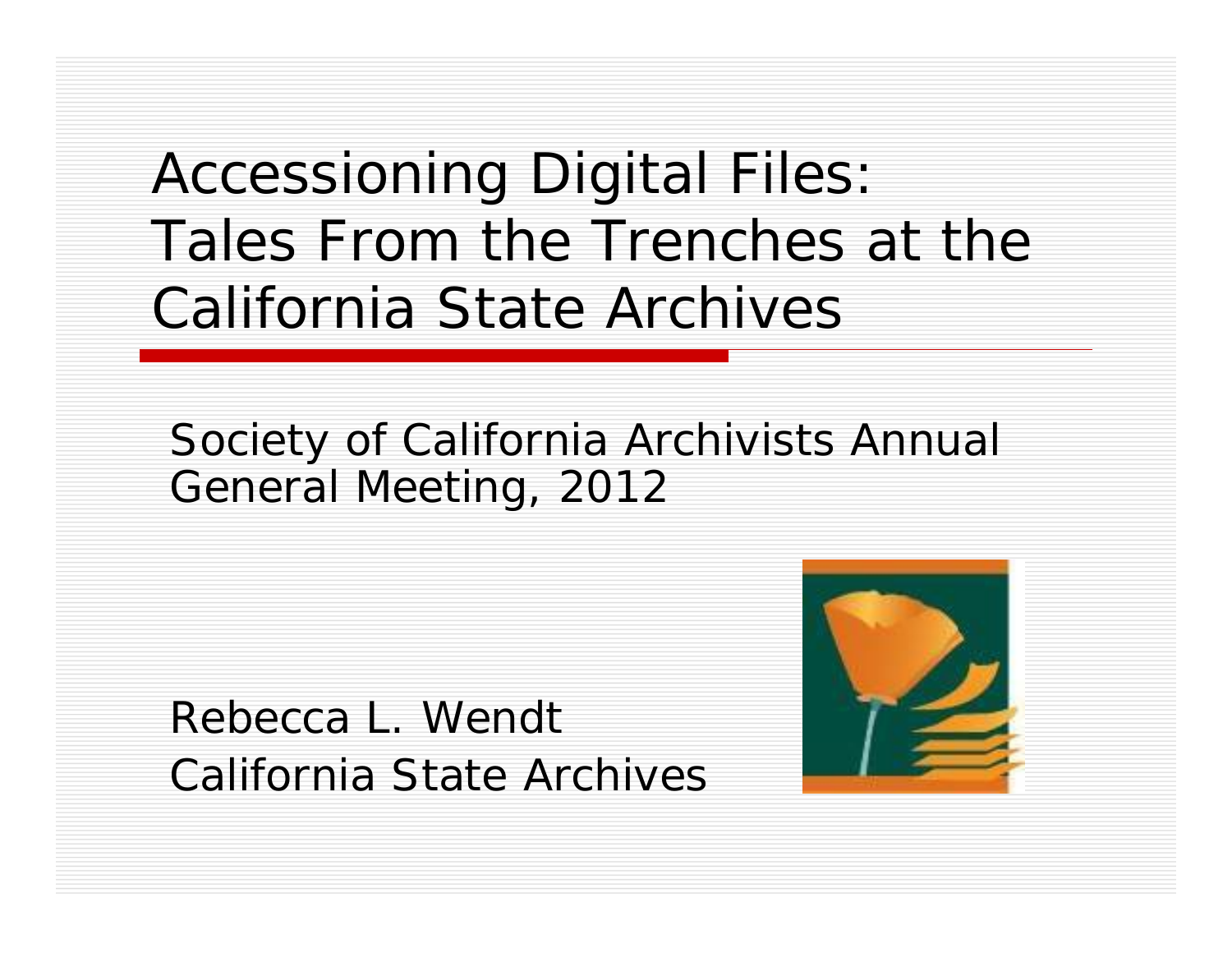Accessioning Digital Files: Tales From the Trenches at the California State Archives

#### Society of California Archivists Annual General Meeting, 2012

Rebecca L. WendtCalifornia State Archives

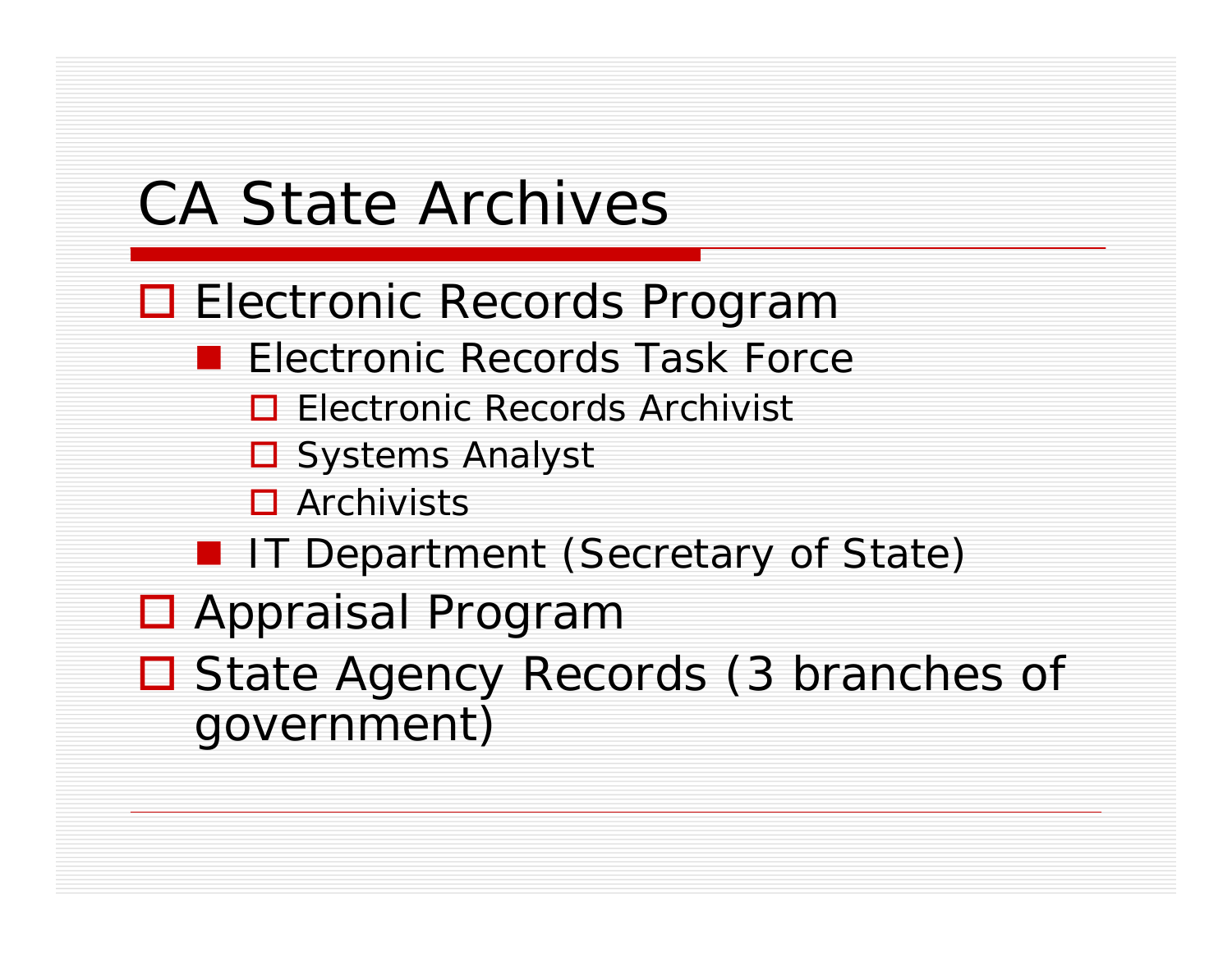# CA State Archives

- □ Electronic Records Program
	- **E** Electronic Records Task Force
		- **□ Electronic Records Archivist**
		- **□** Systems Analyst
		- □ Archivists
	- **I** IT Department (Secretary of State)
- □ Appraisal Program
- □ State Agency Records (3 branches of government)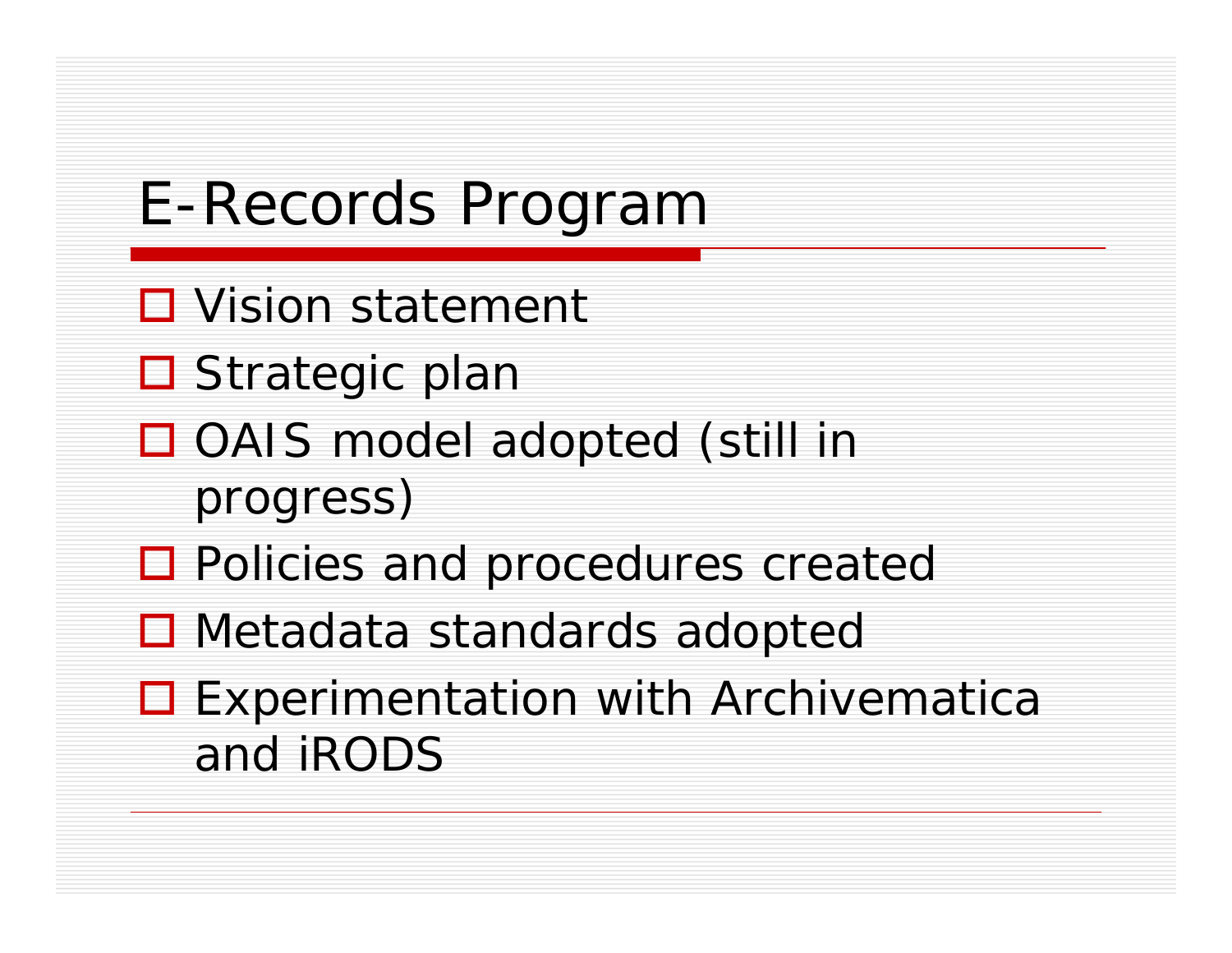# E-Records Program

- **□** Vision statement
- **□** Strategic plan
- □ OAIS model adopted (still in progress)
- □ Policies and procedures created
- **□ Metadata standards adopted**
- **□ Experimentation with Archivematica** and iRODS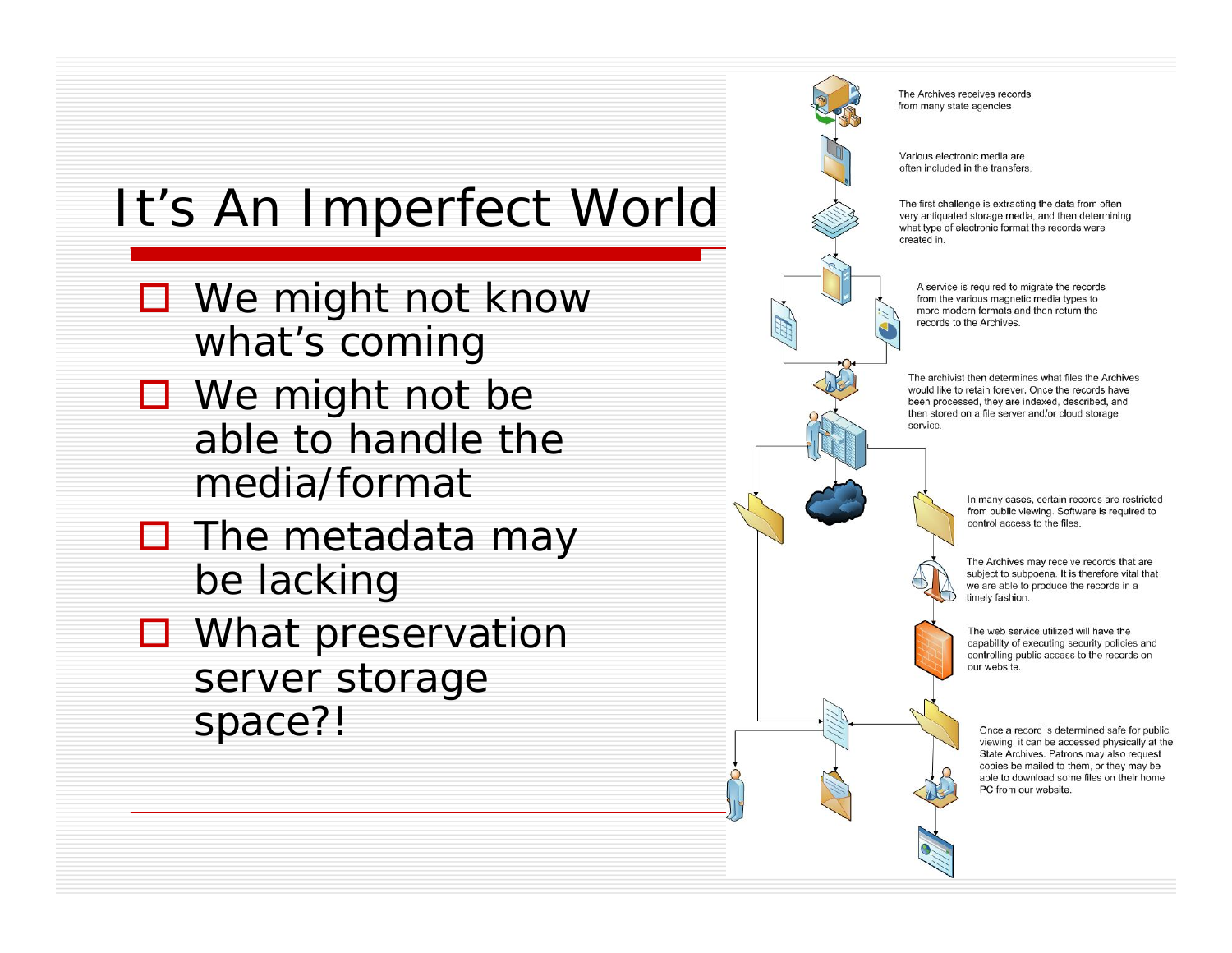### It's An Imperfect World

- We might not know what's coming
- We might not be able to handle the media/format
- $\Box$  The metadata may be lacking
- **□** What preservation server storage space?!

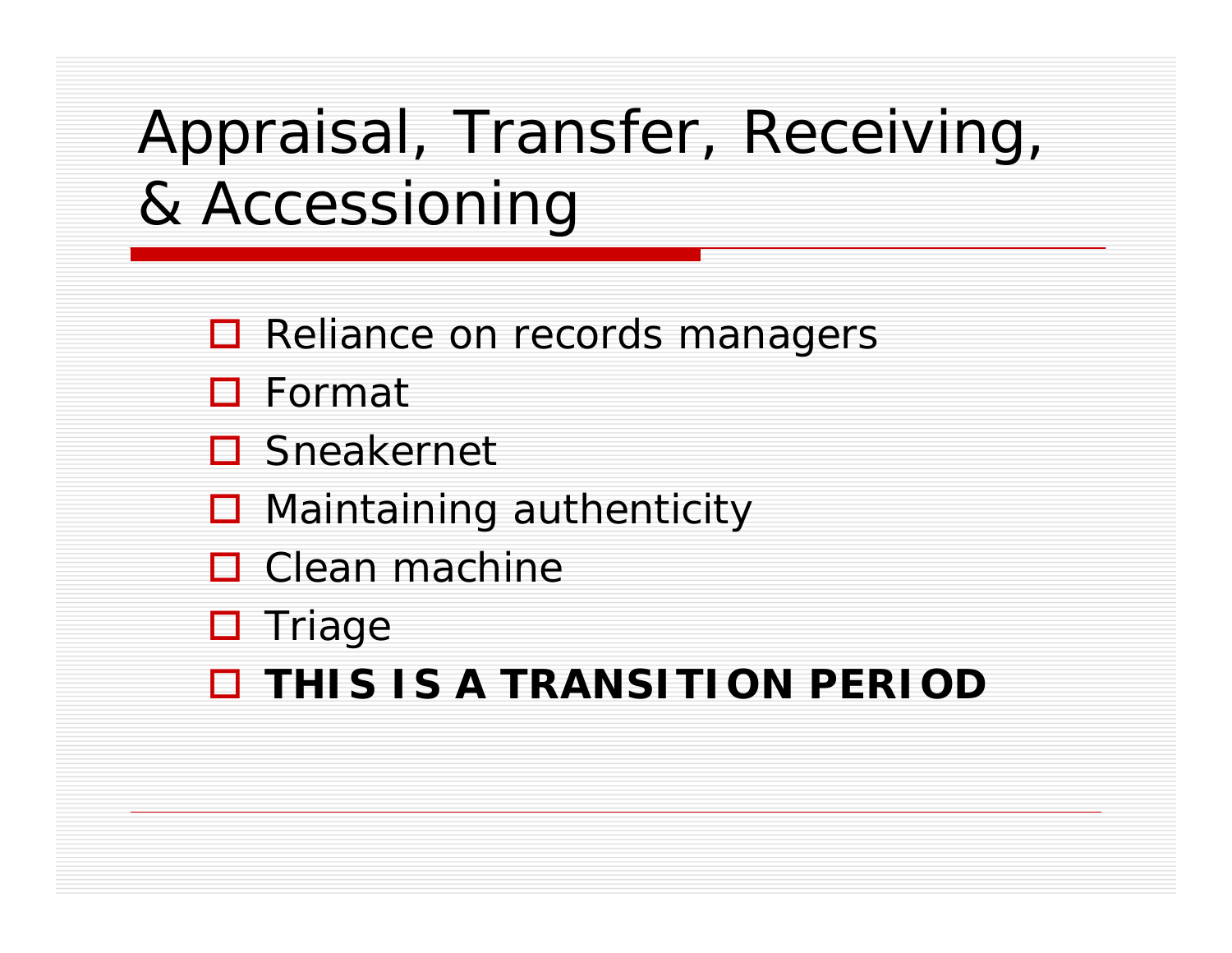# Appraisal, Transfer, Receiving, & Accessioning

- **□ Reliance on records managers**
- Format
- **□** Sneakernet
- **□** Maintaining authenticity
- $\square$  Clean machine
- **O** Triage
- **THIS IS A TRANSITION PERIOD**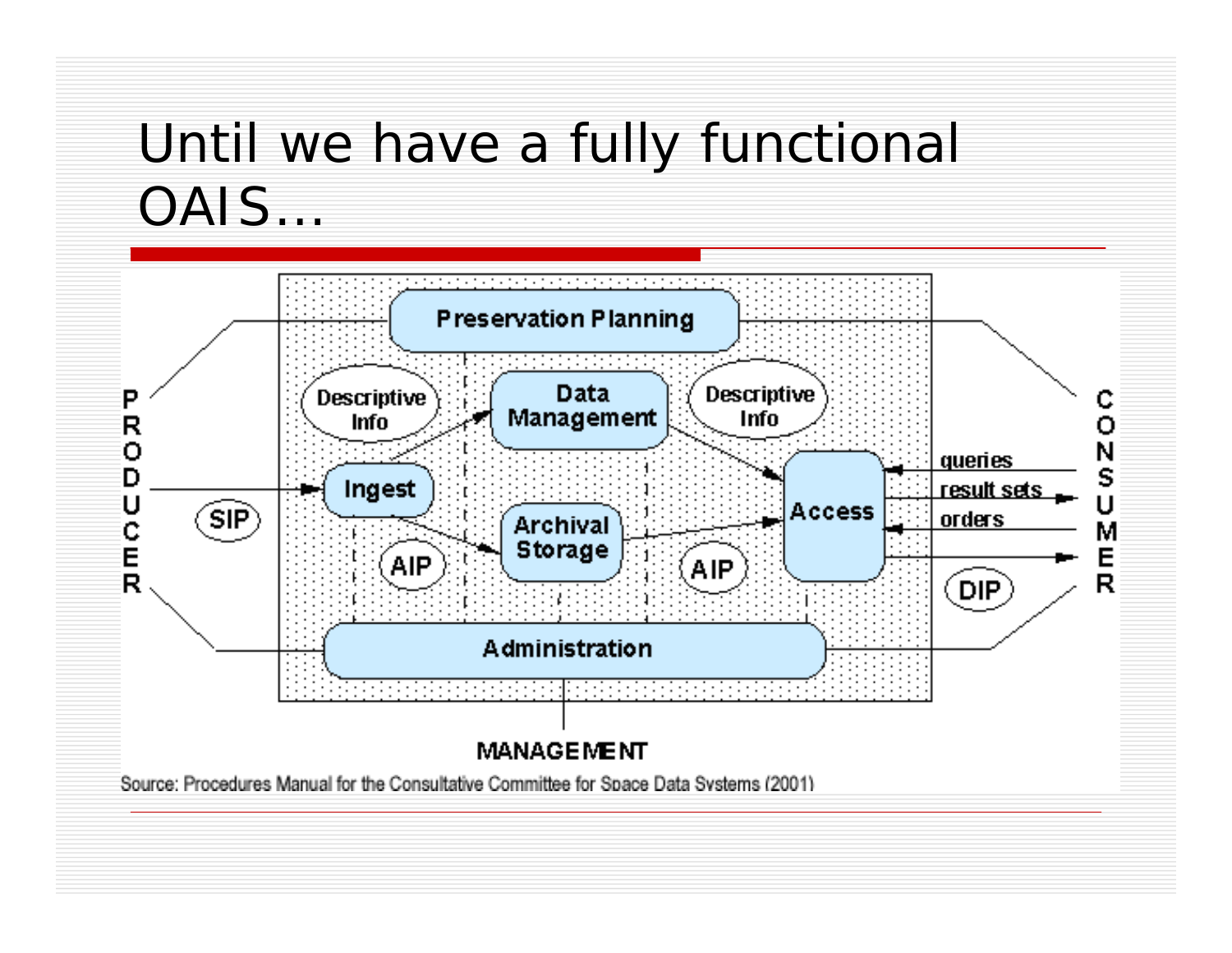### Until we have a fully functional OAIS...

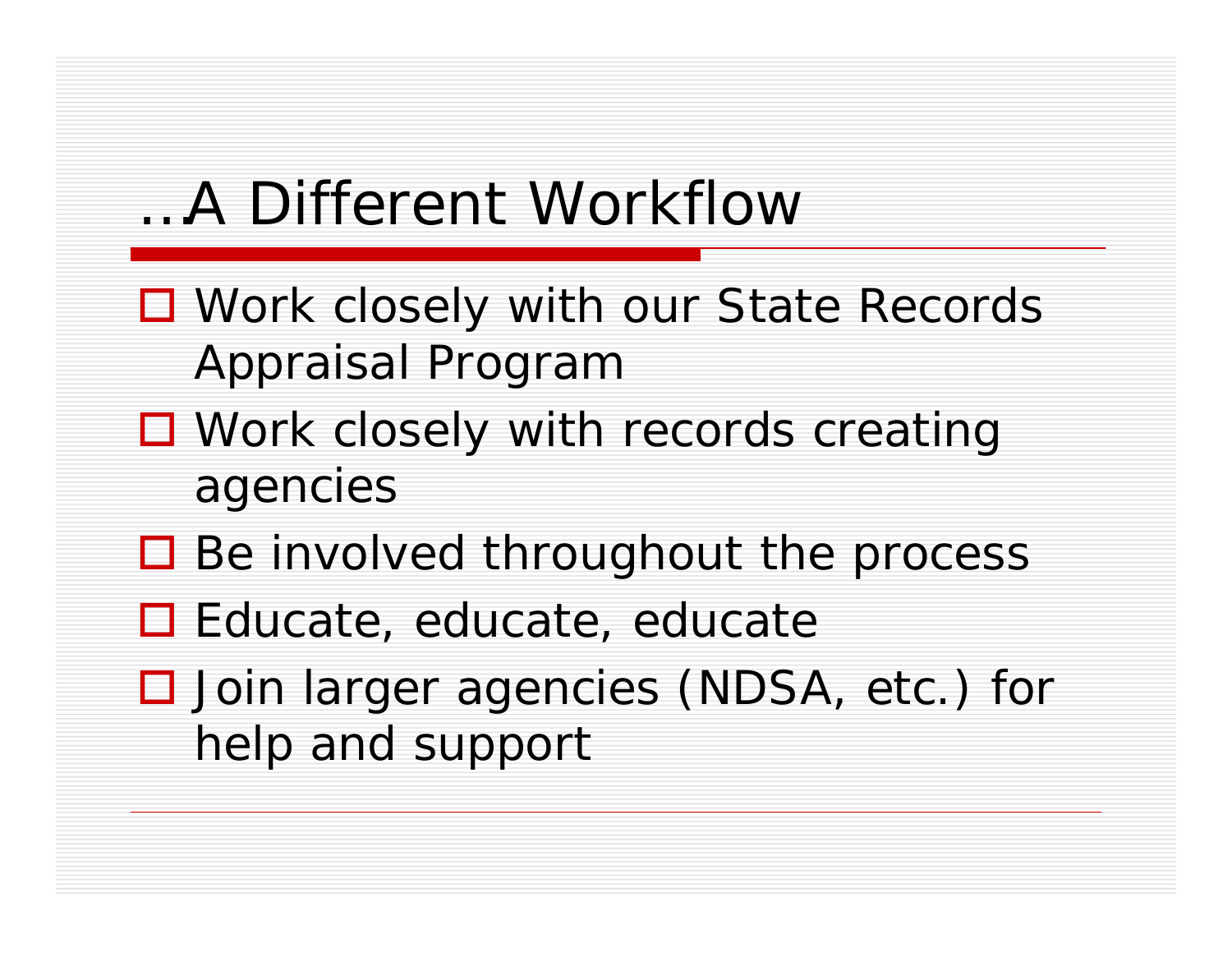### …A Different Workflow

- Work closely with our State Records Appraisal Program
- □ Work closely with records creating agencies
- Be involved throughout the process
- **□** Educate, educate, educate
- □ Join larger agencies (NDSA, etc.) for help and support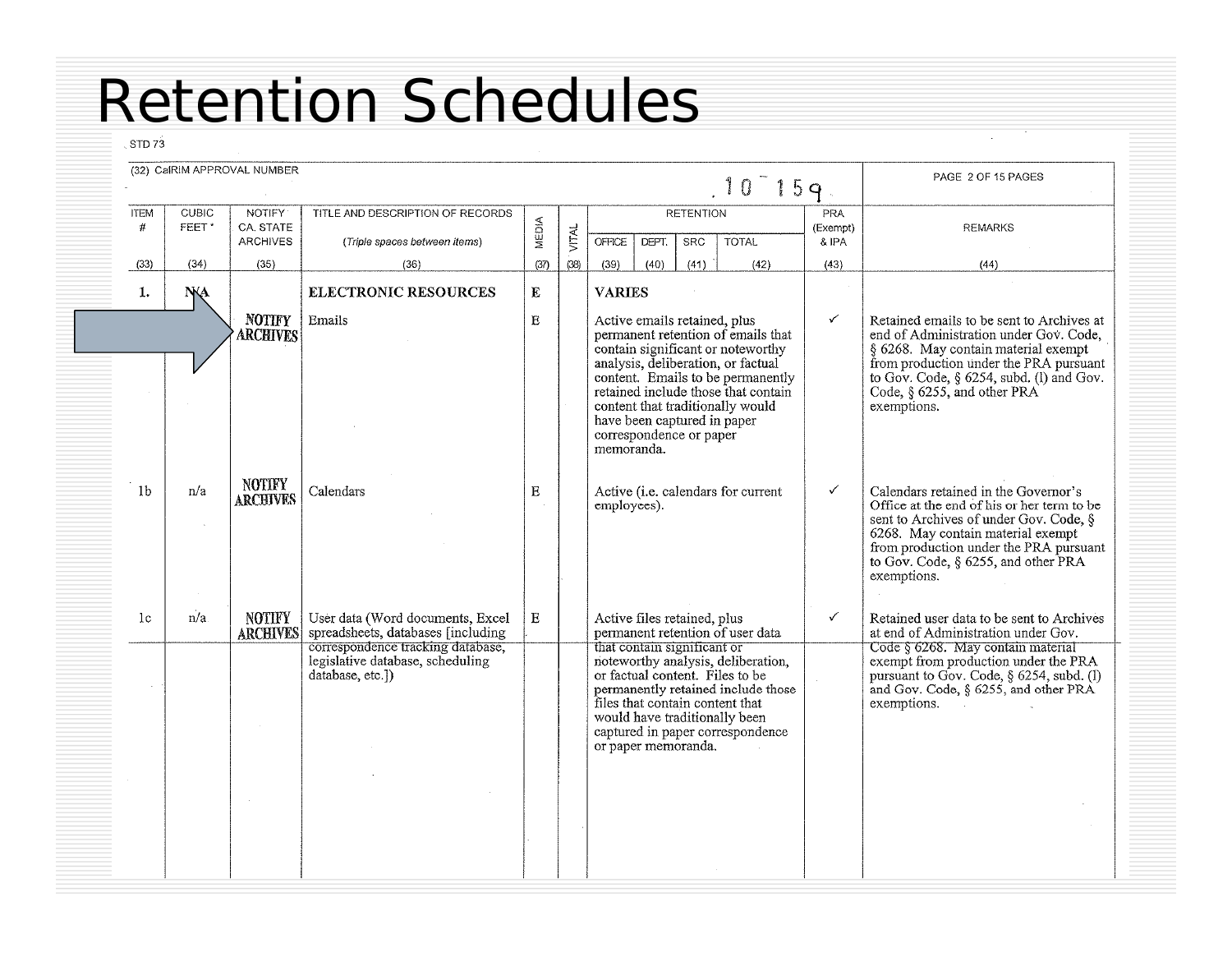### Retention Schedules

 $STD73$ 

|                  |                       | (32) CalRIM APPROVAL NUMBER             |                                                                                           |              |              |                                                                                                      |       |                                | $.10 - 159.$                                                                                                                                                                                                                  |                          | PAGE 2 OF 15 PAGES                                                                                                                                                                                                                                                |
|------------------|-----------------------|-----------------------------------------|-------------------------------------------------------------------------------------------|--------------|--------------|------------------------------------------------------------------------------------------------------|-------|--------------------------------|-------------------------------------------------------------------------------------------------------------------------------------------------------------------------------------------------------------------------------|--------------------------|-------------------------------------------------------------------------------------------------------------------------------------------------------------------------------------------------------------------------------------------------------------------|
| <b>ITEM</b><br># | <b>CUBIC</b><br>FEET* | NOTIFY:<br>CA. STATE<br><b>ARCHIVES</b> | TITLE AND DESCRIPTION OF RECORDS<br>(Triple spaces between items)                         | <b>MEDIA</b> | <b>VITAL</b> | <b>OFFICE</b>                                                                                        | DEPT. | <b>RETENTION</b><br><b>SRC</b> | <b>TOTAL</b>                                                                                                                                                                                                                  | PRA<br>(Exempt)<br>& IPA | <b>REMARKS</b>                                                                                                                                                                                                                                                    |
| (33)             | (34)                  | (35)                                    | (36)                                                                                      | (37)         | (38)         | (39)                                                                                                 | (40)  | (41)                           | (42)                                                                                                                                                                                                                          | (43)                     | (44)                                                                                                                                                                                                                                                              |
| 1.               | <b>NA</b>             |                                         | <b>ELECTRONIC RESOURCES</b>                                                               | E            |              | <b>VARIES</b>                                                                                        |       |                                |                                                                                                                                                                                                                               |                          |                                                                                                                                                                                                                                                                   |
|                  |                       | <b>NOTIFY</b><br><b>ARCHIVES</b>        | Emails                                                                                    | E            |              | Active emails retained, plus<br>have been captured in paper<br>correspondence or paper<br>memoranda. |       |                                | permanent retention of emails that<br>contain significant or noteworthy<br>analysis, deliberation, or factual<br>content. Emails to be permanently<br>retained include those that contain<br>content that traditionally would | $\checkmark$             | Retained emails to be sent to Archives at<br>end of Administration under Gov. Code,<br>§ 6268. May contain material exempt<br>from production under the PRA pursuant<br>to Gov. Code, § 6254, subd. (I) and Gov.<br>Code, § 6255, and other PRA<br>exemptions.    |
| 1 <sub>b</sub>   | n/a                   | <b>NOTIFY</b><br><b>ARCHIVES</b>        | Calendars                                                                                 | Ε            |              | employees).                                                                                          |       |                                | Active (i.e. calendars for current                                                                                                                                                                                            | ✓                        | Calendars retained in the Governor's<br>Office at the end of his or her term to be<br>sent to Archives of under Gov. Code, §<br>6268. May contain material exempt<br>from production under the PRA pursuant<br>to Gov. Code, § 6255, and other PRA<br>exemptions. |
| 1c               | n/a                   | <b>NOTIFY</b><br><b>ARCHIVES</b>        | User data (Word documents, Excel<br>spreadsheets, databases [including]                   | E            |              | Active files retained, plus                                                                          |       |                                | permanent retention of user data                                                                                                                                                                                              | ✓                        | Retained user data to be sent to Archives<br>at end of Administration under Gov.                                                                                                                                                                                  |
|                  |                       |                                         | correspondence tracking database,<br>legislative database, scheduling<br>database, etc.]) |              |              | that contain significant or<br>or paper memoranda.                                                   |       |                                | noteworthy analysis, deliberation,<br>or factual content. Files to be<br>permanently retained include those<br>files that contain content that<br>would have traditionally been<br>captured in paper correspondence           |                          | Code § 6268. May contain material<br>exempt from production under the PRA<br>pursuant to Gov. Code, § 6254, subd. (1)<br>and Gov. Code, § 6255, and other PRA<br>exemptions.                                                                                      |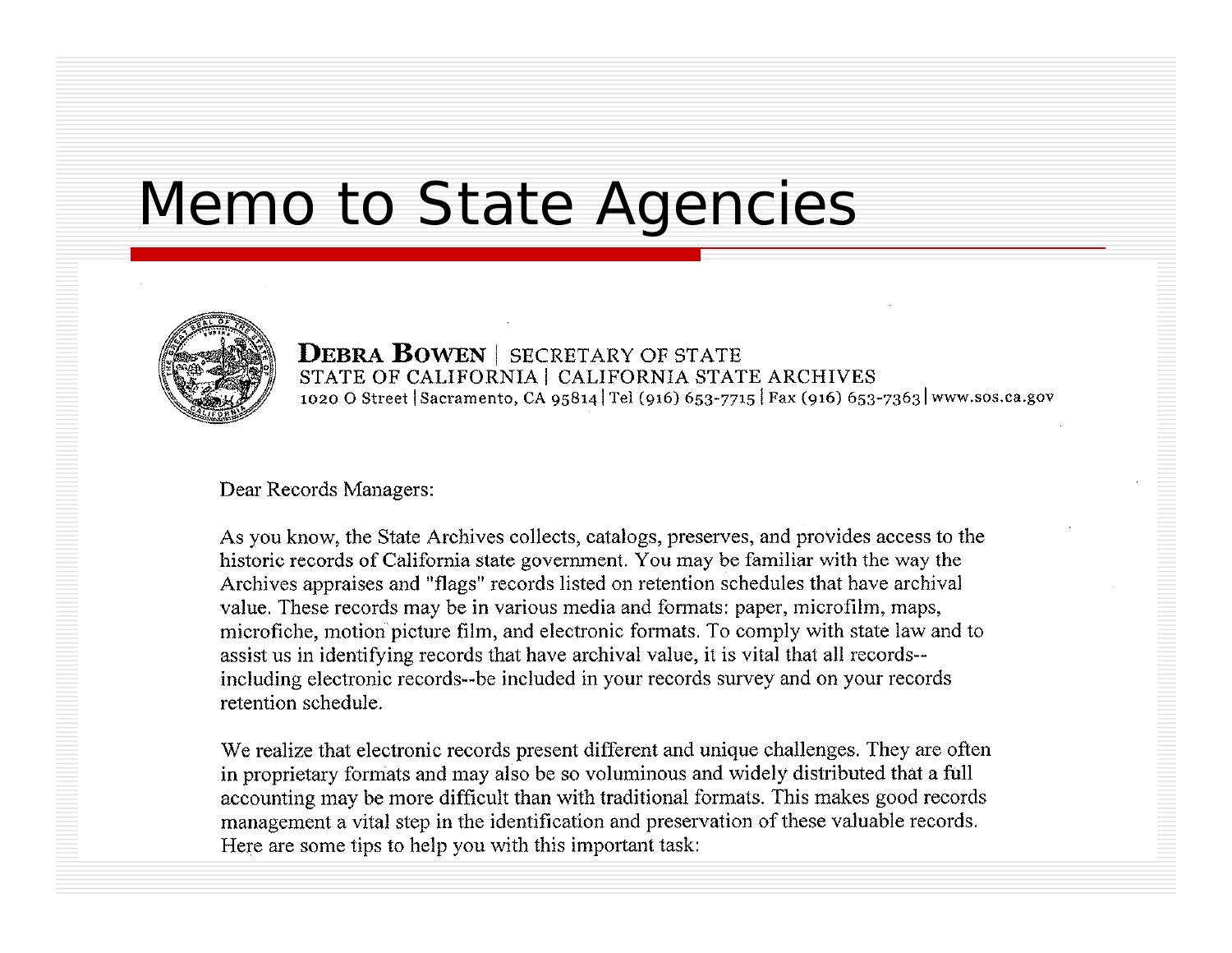### Memo to State Agencies



**DEBRA BOWEN** | SECRETARY OF STATE STATE OF CALIFORNIA | CALIFORNIA STATE ARCHIVES 1020 O Street Sacramento, CA 95814 Tel (916) 653-7715 Fax (916) 653-7363 www.sos.ca.gov

#### Dear Records Managers:

As you know, the State Archives collects, catalogs, preserves, and provides access to the historic records of California state government. You may be familiar with the way the Archives appraises and "flags" records listed on retention schedules that have archival value. These records may be in various media and formats: paper, microfilm, maps, microfiche, motion picture film, and electronic formats. To comply with state law and to assist us in identifying records that have archival value, it is vital that all records-including electronic records--be included in your records survey and on your records retention schedule.

We realize that electronic records present different and unique challenges. They are often in proprietary formats and may also be so voluminous and widely distributed that a full accounting may be more difficult than with traditional formats. This makes good records management a vital step in the identification and preservation of these valuable records. Here are some tips to help you with this important task: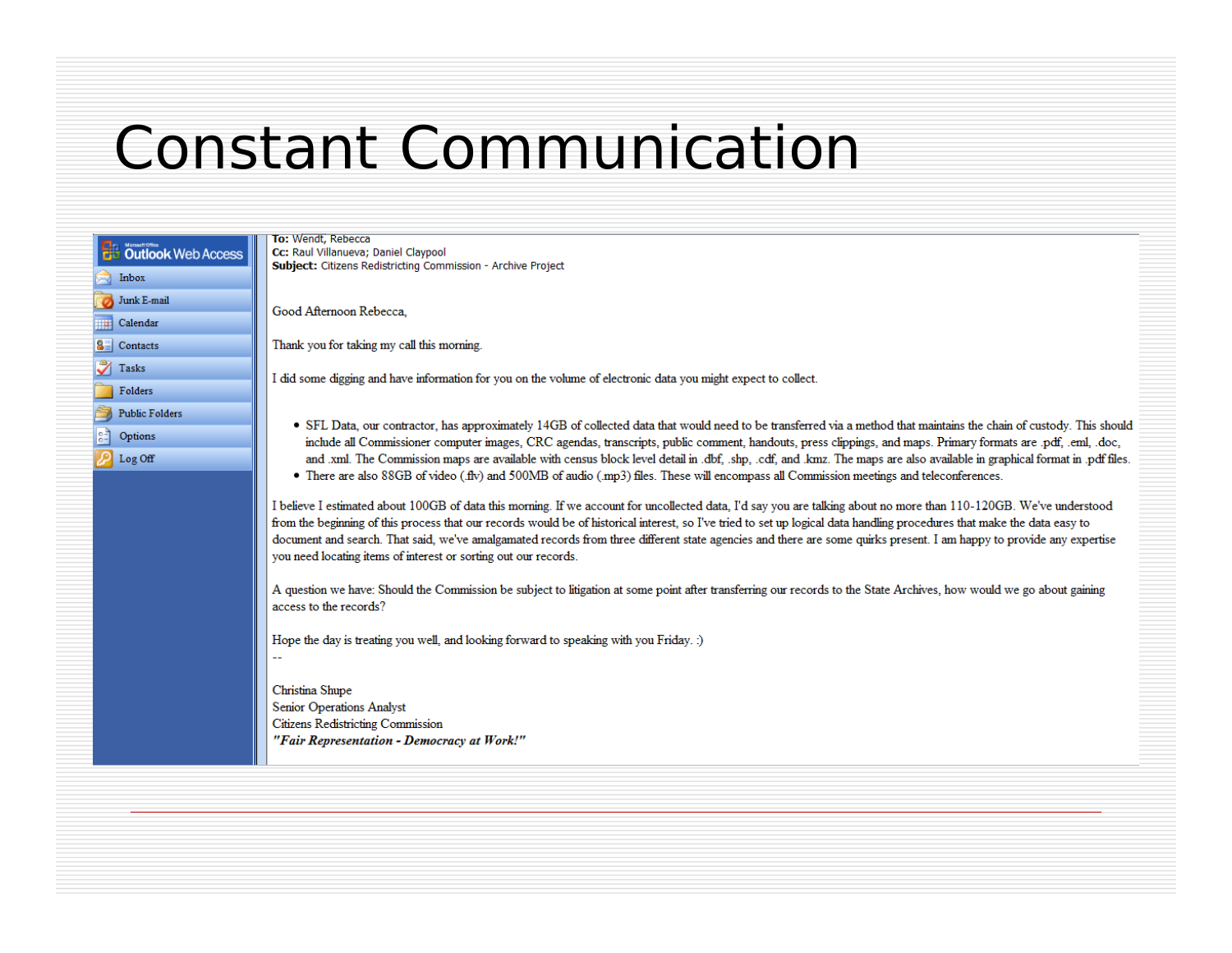### **Constant Communication**

|           | Outlook Web Access    |  |
|-----------|-----------------------|--|
|           | Inbox                 |  |
|           | Junk E-mail           |  |
| <b>To</b> | Calendar              |  |
| 83        | Contacts              |  |
|           | Tasks                 |  |
|           | Folders               |  |
|           | <b>Public Folders</b> |  |
| ွ         | Options               |  |
|           | Log Off               |  |
|           |                       |  |
|           |                       |  |
|           |                       |  |
|           |                       |  |

To: Wendt, Rebecca Cc: Raul Villanueva; Daniel Claypool Subject: Citizens Redistricting Commission - Archive Project

Good Afternoon Rebecca.

Thank you for taking my call this morning.

I did some digging and have information for you on the volume of electronic data you might expect to collect.

- SFL Data, our contractor, has approximately 14GB of collected data that would need to be transferred via a method that maintains the chain of custody. This should include all Commissioner computer images, CRC agendas, transcripts, public comment, handouts, press clippings, and maps. Primary formats are .pdf, .eml, .doc, and .xml. The Commission maps are available with census block level detail in .dbf. shp. cdf. and .kmz. The maps are also available in graphical format in .pdf files.
- There are also 88GB of video (flv) and 500MB of audio (mp3) files. These will encompass all Commission meetings and teleconferences.

I believe I estimated about 100GB of data this morning. If we account for uncollected data, I'd say you are talking about no more than 110-120GB. We've understood from the beginning of this process that our records would be of historical interest, so I've tried to set up logical data handling procedures that make the data easy to document and search. That said, we've amalgamated records from three different state agencies and there are some quirks present. I am happy to provide any expertise you need locating items of interest or sorting out our records.

A question we have: Should the Commission be subject to litigation at some point after transferring our records to the State Archives, how would we go about gaining access to the records?

Hope the day is treating you well, and looking forward to speaking with you Friday. :)

Christina Shupe **Senior Operations Analyst** Citizens Redistricting Commission "Fair Representation - Democracy at Work!"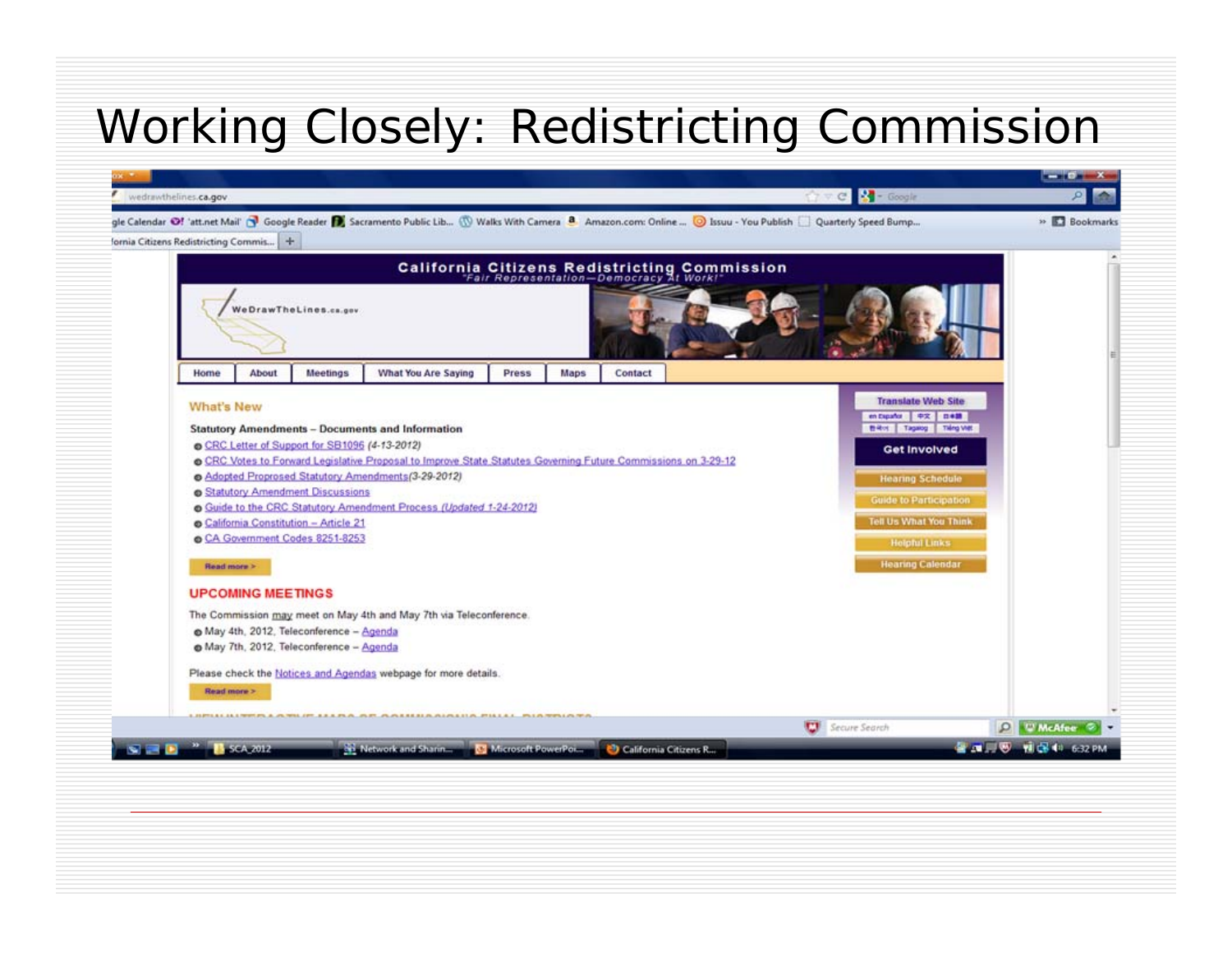#### Working Closely: Redistricting Commission

|                                          | wedrawthelines.ca.gov                                                                                                                                                                 |                                        |                                                                                                                                                                                                                                                                                                    |       |      |         |  |  | ☆ v C   - Google                                                                                                                                                                                                                                               |  |             |
|------------------------------------------|---------------------------------------------------------------------------------------------------------------------------------------------------------------------------------------|----------------------------------------|----------------------------------------------------------------------------------------------------------------------------------------------------------------------------------------------------------------------------------------------------------------------------------------------------|-------|------|---------|--|--|----------------------------------------------------------------------------------------------------------------------------------------------------------------------------------------------------------------------------------------------------------------|--|-------------|
| fornia Citizens Redistricting Commis   + |                                                                                                                                                                                       |                                        | gle Calendar @! 'att.net Mail' @ Google Reader @ Sacramento Public Lib (W Walks With Camera 8 Amazon.com: Online  @ Issuu - You Publish   Quarterly Speed Bump                                                                                                                                     |       |      |         |  |  |                                                                                                                                                                                                                                                                |  | » Bookmarks |
|                                          |                                                                                                                                                                                       |                                        |                                                                                                                                                                                                                                                                                                    |       |      |         |  |  |                                                                                                                                                                                                                                                                |  |             |
|                                          |                                                                                                                                                                                       |                                        | California Citizens Redistricting Commission<br>"Fair Representation-Democracy At Work!"                                                                                                                                                                                                           |       |      |         |  |  |                                                                                                                                                                                                                                                                |  |             |
|                                          |                                                                                                                                                                                       | We DrawThe Lines.ca.gov                |                                                                                                                                                                                                                                                                                                    |       |      |         |  |  |                                                                                                                                                                                                                                                                |  |             |
| Home                                     | <b>About</b>                                                                                                                                                                          | <b>Meetings</b>                        | <b>What You Are Saying</b>                                                                                                                                                                                                                                                                         | Press | Maps | Contact |  |  |                                                                                                                                                                                                                                                                |  |             |
|                                          | What's New<br>CRC Letter of Support for SB1096 (4-13-2012)<br>Statutory Amendment Discussions<br>California Constitution - Article 21<br>CA Government Codes 8251-8253<br>Read more > |                                        | <b>Statutory Amendments - Documents and Information</b><br>o CRC Votes to Forward Legislative Proposal to Improve State Statutes Governing Future Commissions on 3-29-12<br>Adopted Proprosed Statutory Amendments (3-29-2012)<br>Suide to the CRC Statutory Amendment Process (Updated 1-24-2012) |       |      |         |  |  | <b>Translate Web Site</b><br>en Expañor 中文 日米語<br><b>Billiot</b>   Tagaing   Tiêng Vitt<br><b>Get Involved</b><br><b>Hearing Schedule</b><br><b>Guide to Participation</b><br><b>Tell Us What You Think</b><br><b>Helpful Links</b><br><b>Hearing Calendar</b> |  |             |
|                                          | <b>UPCOMING MEETINGS</b>                                                                                                                                                              |                                        |                                                                                                                                                                                                                                                                                                    |       |      |         |  |  |                                                                                                                                                                                                                                                                |  |             |
|                                          |                                                                                                                                                                                       | May 4th, 2012, Teleconference - Agenda | The Commission may meet on May 4th and May 7th via Teleconference.                                                                                                                                                                                                                                 |       |      |         |  |  |                                                                                                                                                                                                                                                                |  |             |
|                                          | May 7th, 2012, Teleconference - Agenda                                                                                                                                                |                                        |                                                                                                                                                                                                                                                                                                    |       |      |         |  |  |                                                                                                                                                                                                                                                                |  |             |
|                                          |                                                                                                                                                                                       |                                        | Please check the Notices and Agendas webpage for more details.                                                                                                                                                                                                                                     |       |      |         |  |  |                                                                                                                                                                                                                                                                |  |             |
|                                          | Read more >                                                                                                                                                                           |                                        |                                                                                                                                                                                                                                                                                                    |       |      |         |  |  |                                                                                                                                                                                                                                                                |  |             |
|                                          |                                                                                                                                                                                       |                                        | WILLIFF, E.E.A., PLATE, PLATEREREAL ALACELLA, MISLEA  PRI A MIRILA NA                                                                                                                                                                                                                              |       |      |         |  |  |                                                                                                                                                                                                                                                                |  |             |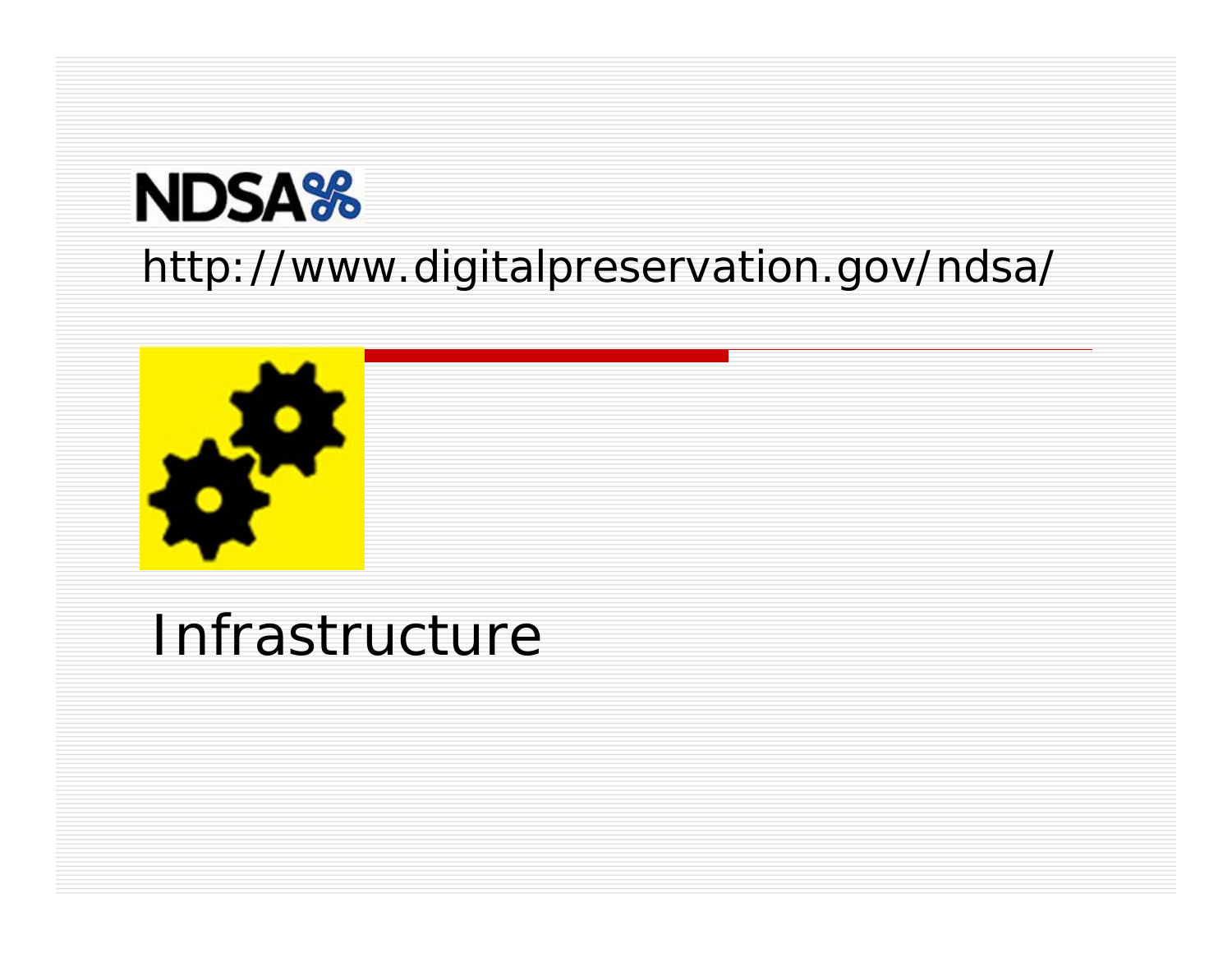# **NDSA%**

#### http://www.digitalpreservation.gov/ndsa/



### Infrastructure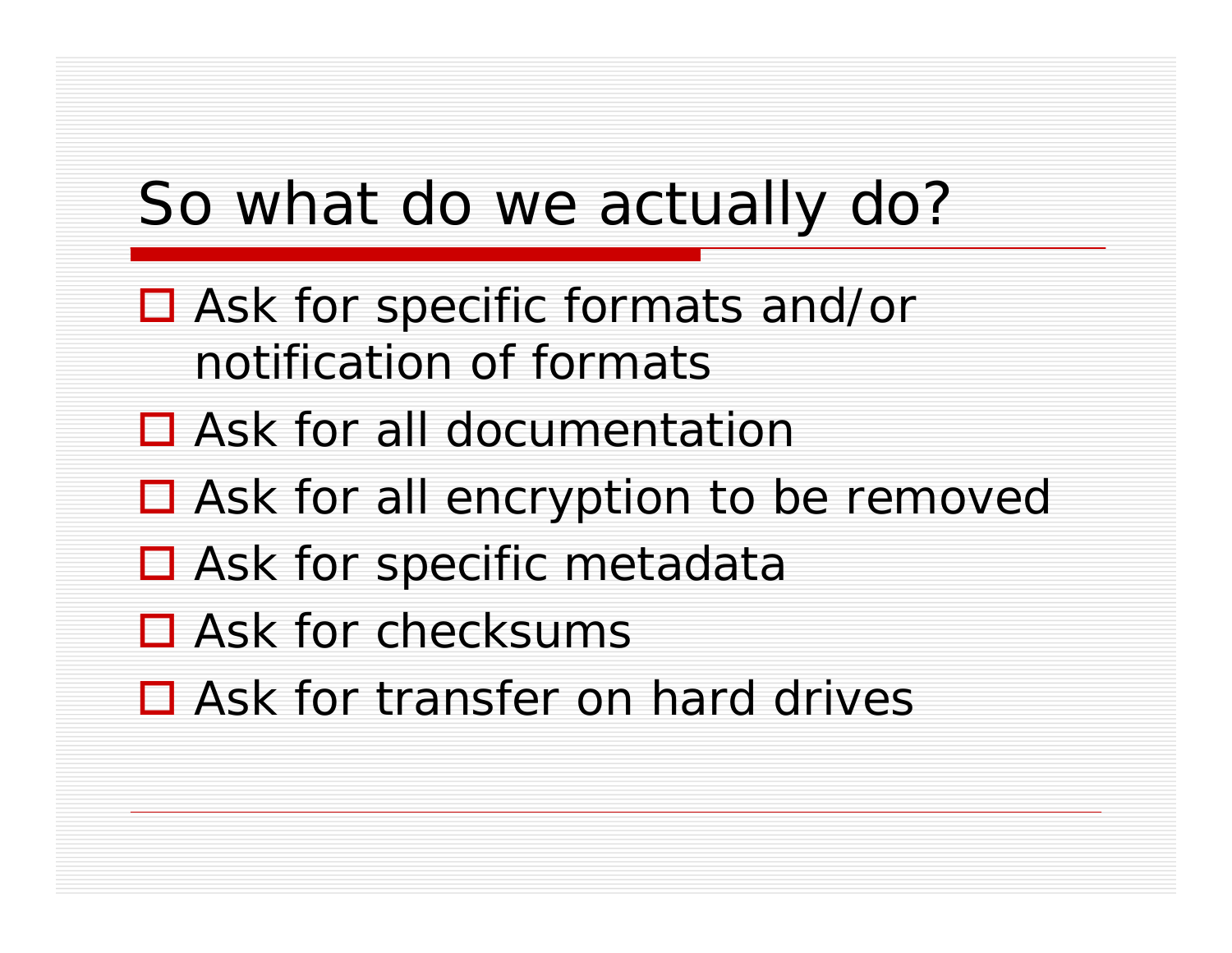### So what do we actually do?

- Ask for specific formats and/or notification of formats
- □ Ask for all documentation
- Ask for all encryption to be removed
- □ Ask for specific metadata
- □ Ask for checksums
- □ Ask for transfer on hard drives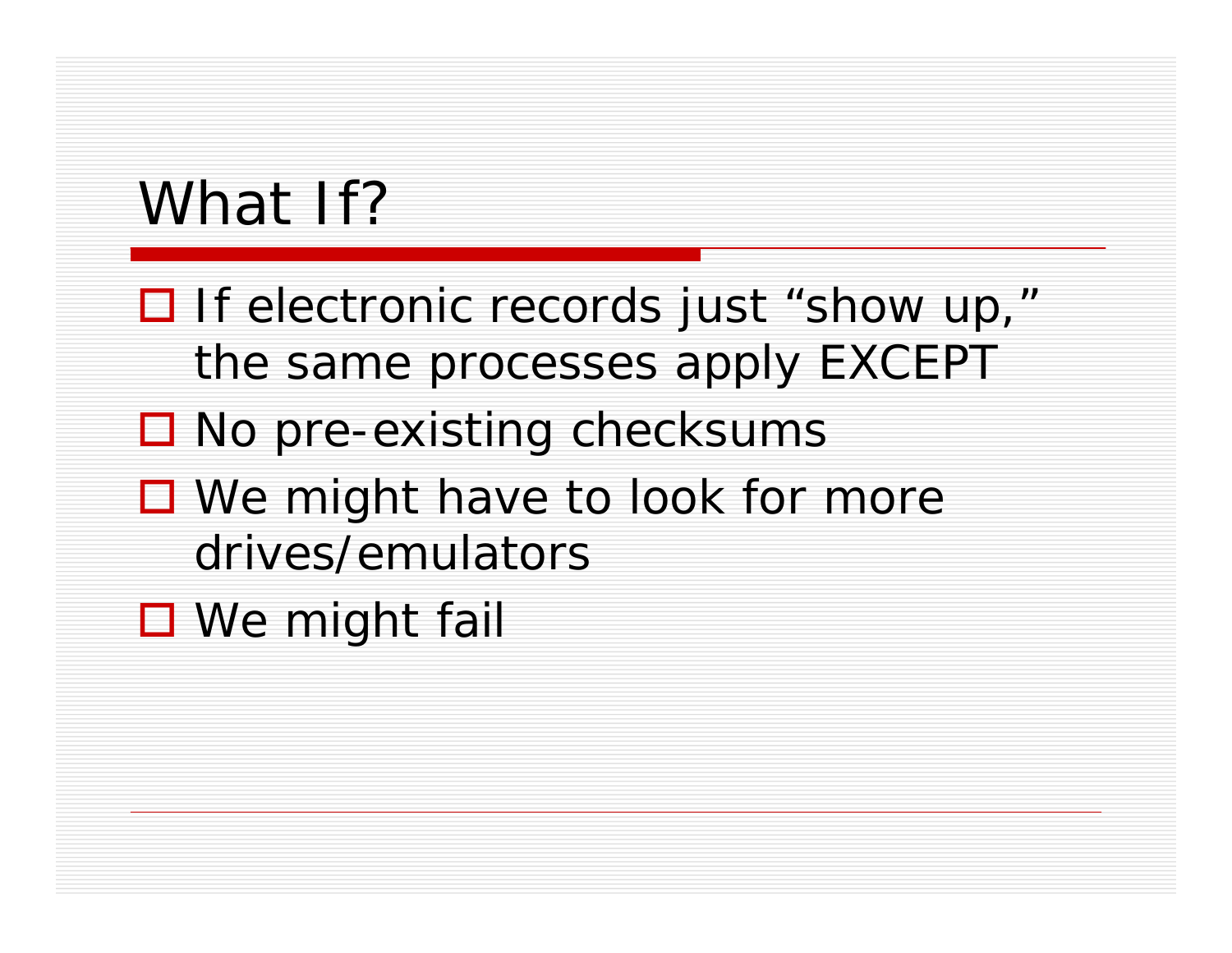### What If?

- $\Box$  If electronic records just "show up," the same processes apply EXCEPT
- □ No pre-existing checksums
- We might have to look for more drives/emulators
- **□** We might fail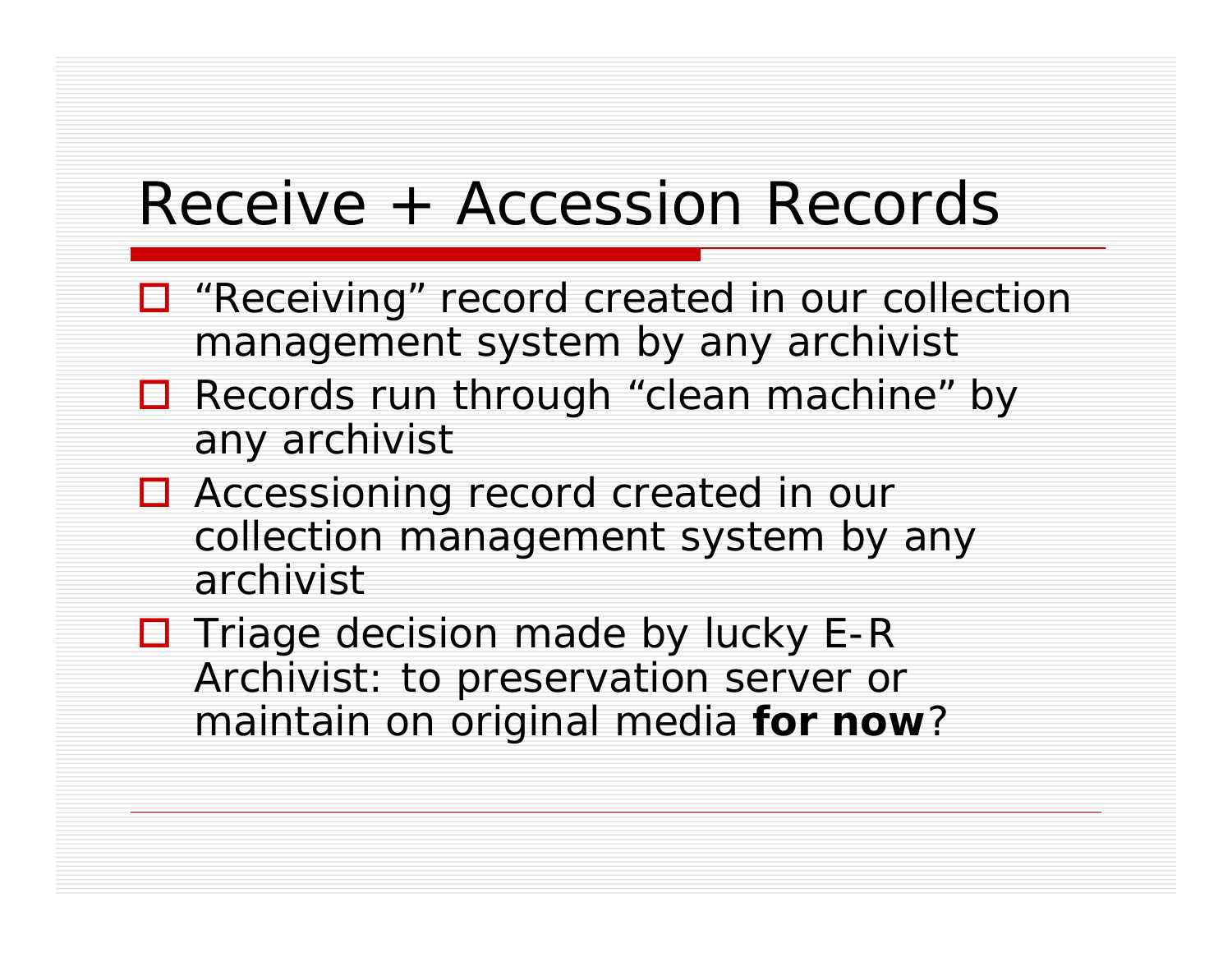### Receive + Accession Records

- □ "Receiving" record created in our collection management system by any archivist
- Records run through "clean machine" by any archivist
- □ Accessioning record created in our collection management system by any archivist
- □ Triage decision made by *lucky* E-R Archivist: to preservation server or maintain on original media **for now** ?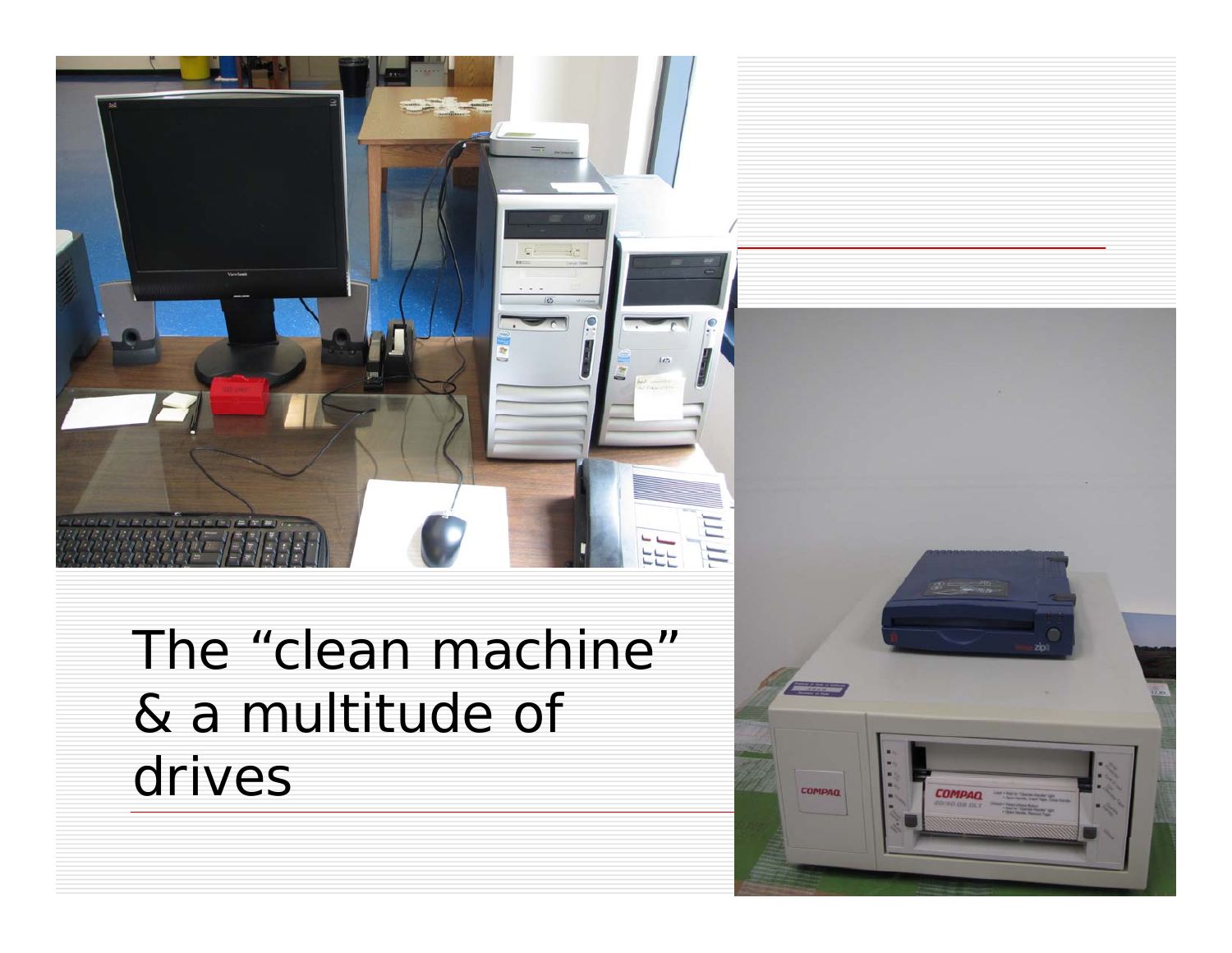

The "clean machine" & a multitude of drives

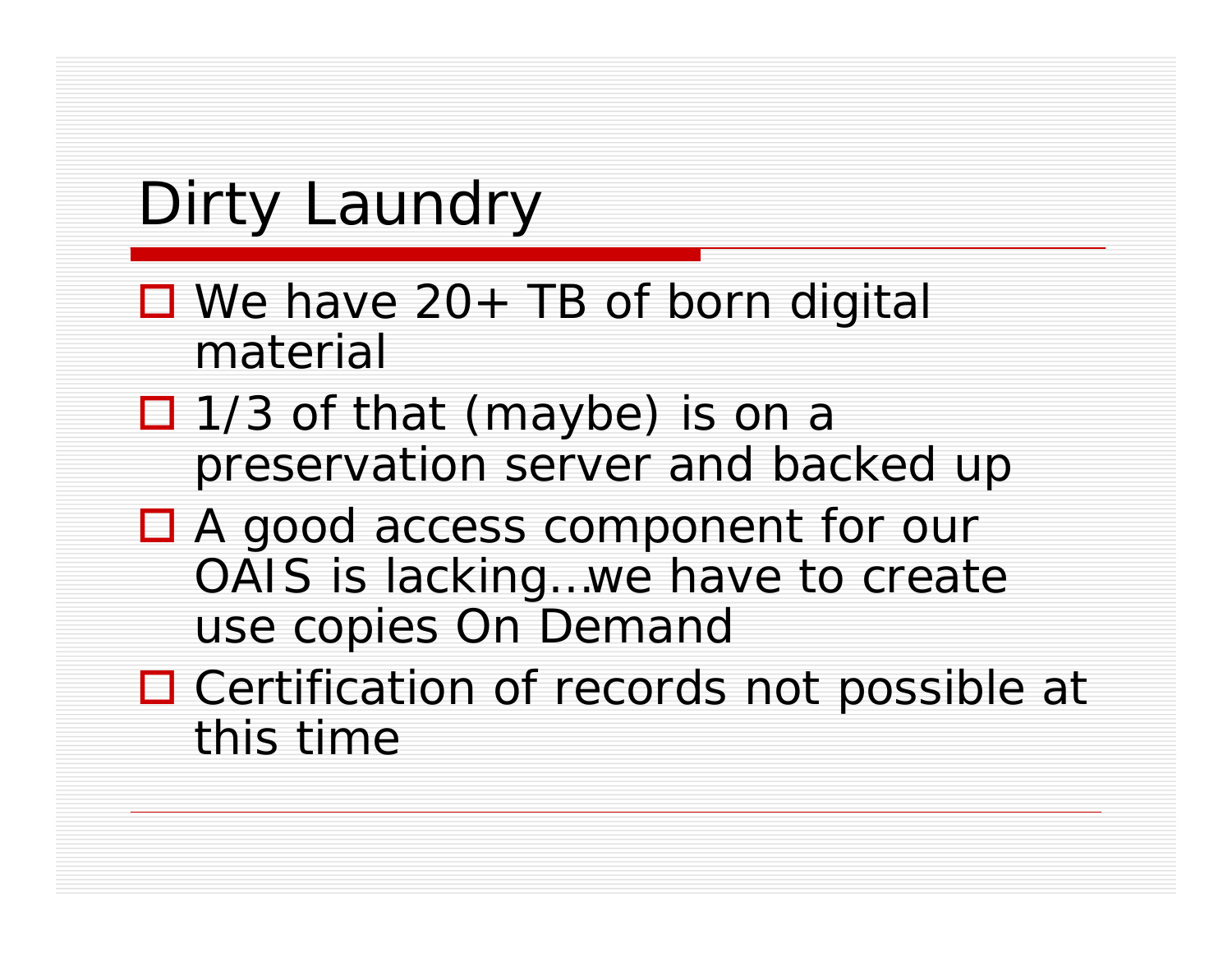# Dirty Laundry

- We have 20+ TB of born digital material
- □ 1/3 of that (maybe) is on a preservation server and backed up
- A good access component for our OAIS is lacking…we have to create use copies *On Demand*
- □ Certification of records not possible at this time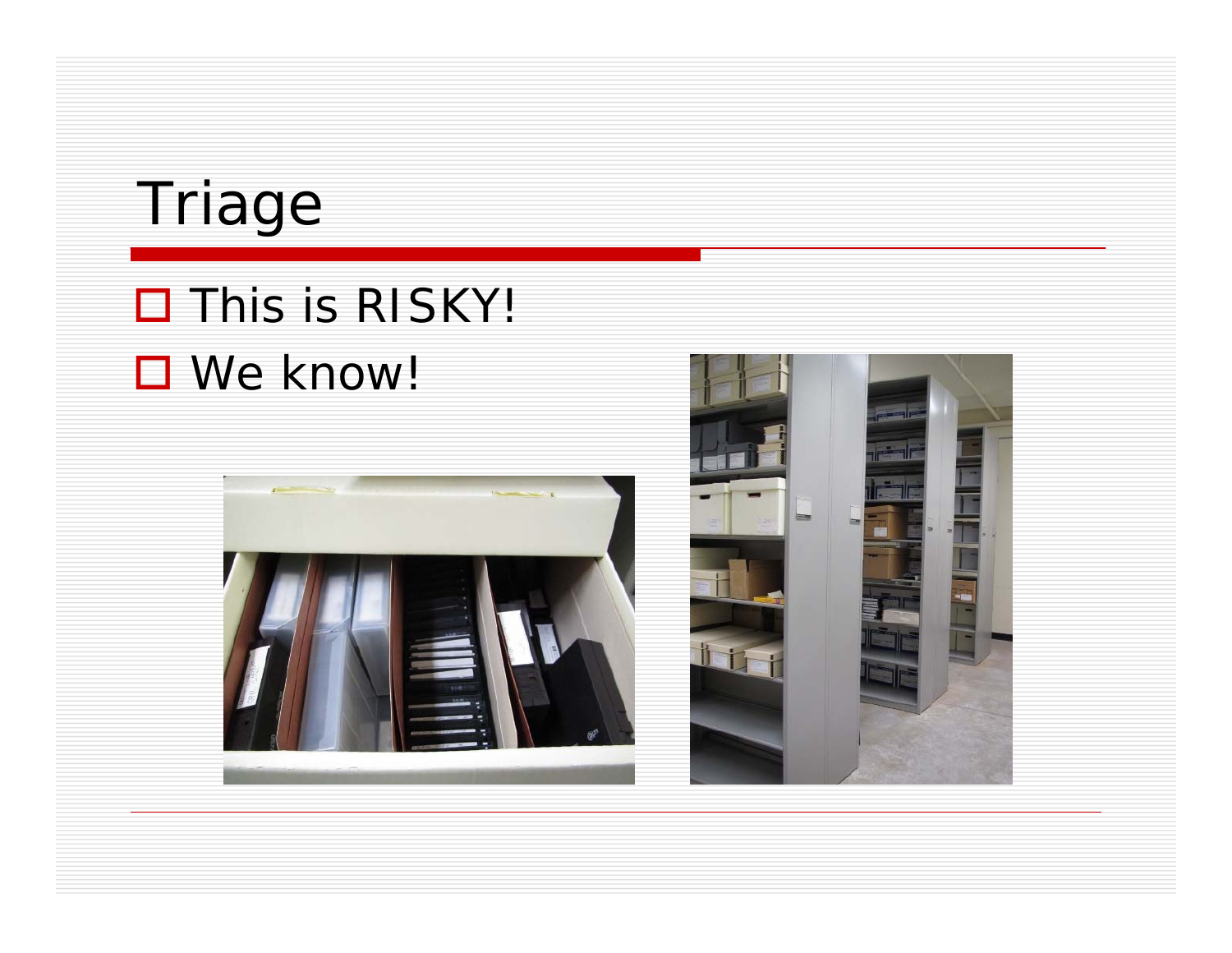

#### $\Box$  This is RISKY! □ We know!



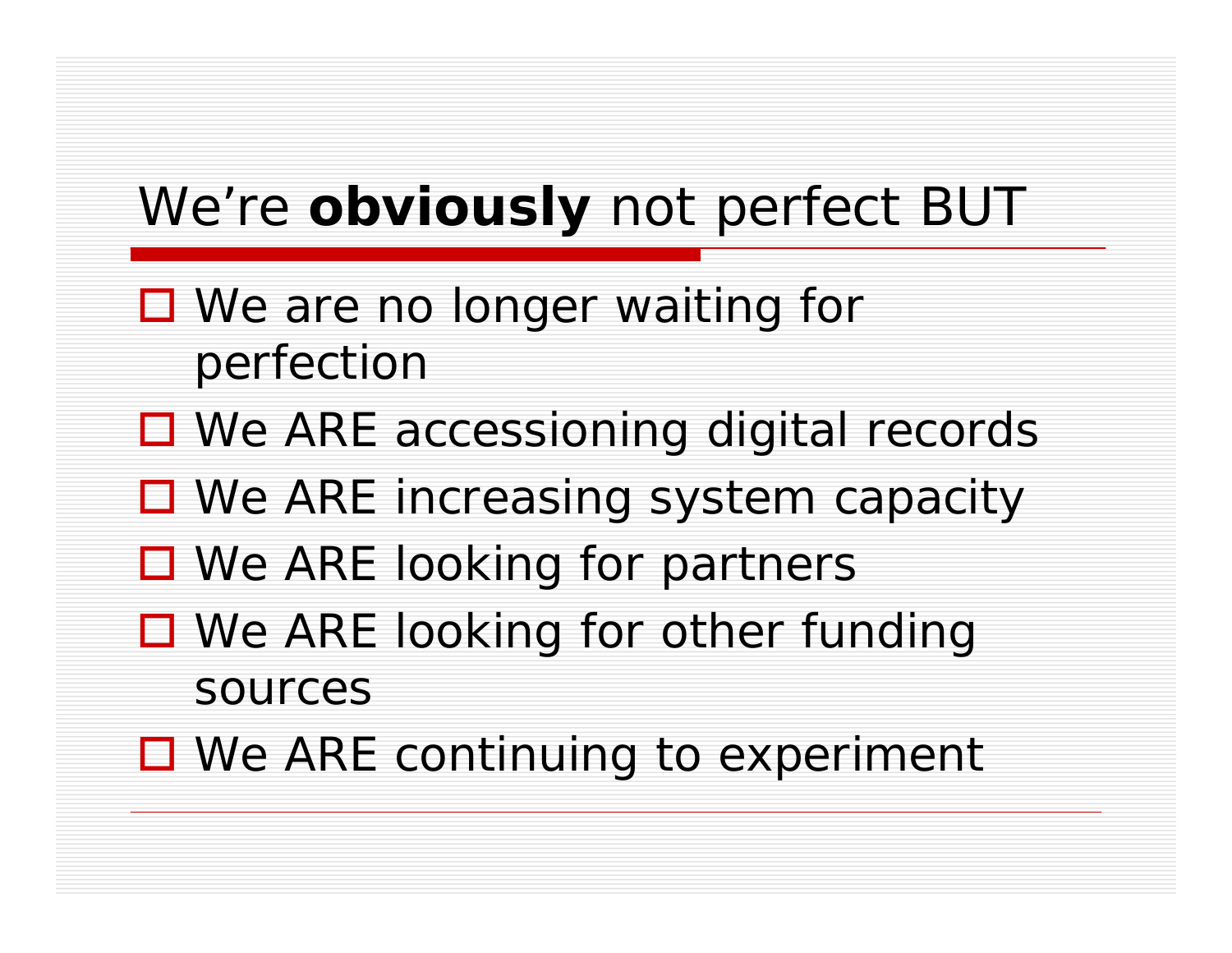### We're *obviously* not perfect BUT

- We are no longer waiting for perfection
- □ We ARE accessioning digital records
- We ARE increasing system capacity
- We ARE looking for partners
- We ARE looking for other funding sources
- We ARE continuing to experiment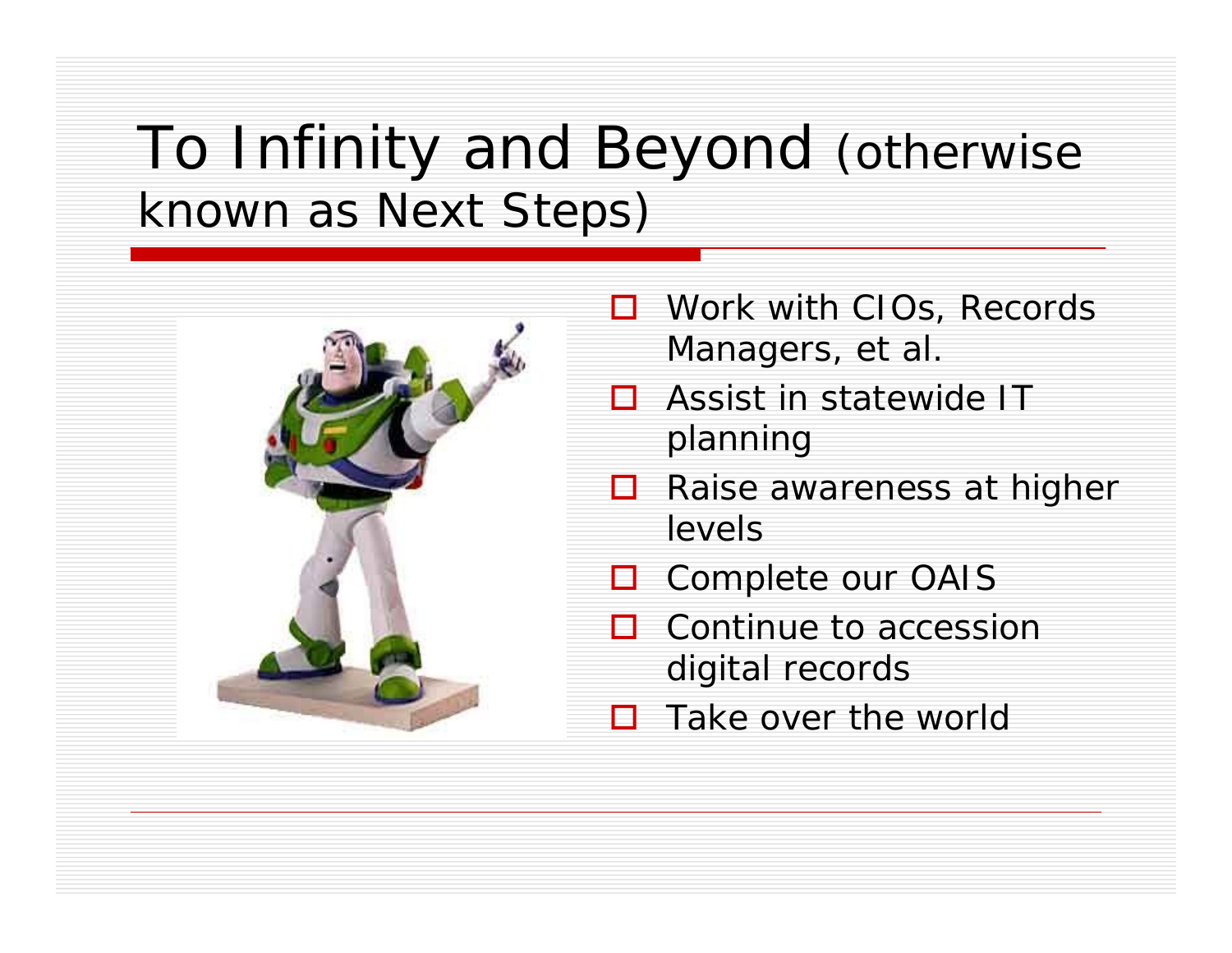## To Infinity and Beyond (otherwise known as Next Steps)



- □ Work with CIOs, Records Managers, et al.
- $\Box$  Assist in statewide IT planning
- $\Box$  Raise awareness at higher levels
- □ Complete our OAIS
- $\Box$  Continue to accession digital records
- $\Box$ Take over the world